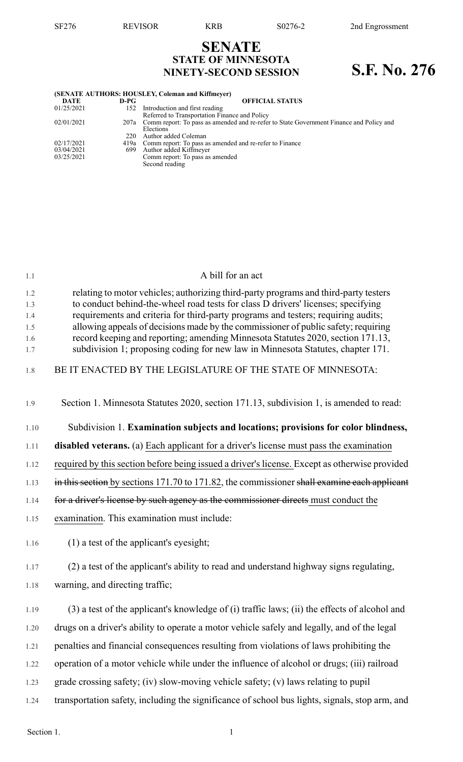## **SENATE STATE OF MINNESOTA NINETY-SECOND SESSION S.F. No. 276**

| (SENATE AUTHORS: HOUSLEY, Coleman and Kiffmeyer) |      |                                                                                              |  |  |  |
|--------------------------------------------------|------|----------------------------------------------------------------------------------------------|--|--|--|
| DATE                                             | D-PG | <b>OFFICIAL STATUS</b>                                                                       |  |  |  |
| 01/25/2021                                       | 152  | Introduction and first reading                                                               |  |  |  |
|                                                  |      | Referred to Transportation Finance and Policy                                                |  |  |  |
| 02/01/2021                                       |      | 207a Comm report: To pass as amended and re-refer to State Government Finance and Policy and |  |  |  |
|                                                  |      | Elections                                                                                    |  |  |  |
|                                                  | 220  | Author added Coleman                                                                         |  |  |  |
| 02/17/2021                                       |      | 419a Comm report: To pass as amended and re-refer to Finance                                 |  |  |  |
| 03/04/2021                                       | 699  | Author added Kiffmeyer                                                                       |  |  |  |
| 03/25/2021                                       |      | Comm report: To pass as amended                                                              |  |  |  |
|                                                  |      | Second reading                                                                               |  |  |  |
|                                                  |      |                                                                                              |  |  |  |

| 1.1               | A bill for an act                                                                                                                                                                                                                                             |
|-------------------|---------------------------------------------------------------------------------------------------------------------------------------------------------------------------------------------------------------------------------------------------------------|
| 1.2<br>1.3<br>1.4 | relating to motor vehicles; authorizing third-party programs and third-party testers<br>to conduct behind-the-wheel road tests for class D drivers' licenses; specifying<br>requirements and criteria for third-party programs and testers; requiring audits; |
| 1.5<br>1.6<br>1.7 | allowing appeals of decisions made by the commissioner of public safety; requiring<br>record keeping and reporting; amending Minnesota Statutes 2020, section 171.13,<br>subdivision 1; proposing coding for new law in Minnesota Statutes, chapter 171.      |
| 1.8               | BE IT ENACTED BY THE LEGISLATURE OF THE STATE OF MINNESOTA:                                                                                                                                                                                                   |
| 1.9               | Section 1. Minnesota Statutes 2020, section 171.13, subdivision 1, is amended to read:                                                                                                                                                                        |
| 1.10              | Subdivision 1. Examination subjects and locations; provisions for color blindness,                                                                                                                                                                            |
| 1.11              | <b>disabled veterans.</b> (a) Each applicant for a driver's license must pass the examination                                                                                                                                                                 |
| 1.12              | required by this section before being issued a driver's license. Except as otherwise provided                                                                                                                                                                 |
| 1.13              | in this section by sections 171.70 to 171.82, the commissioner shall examine each applicant                                                                                                                                                                   |
| 1.14              | for a driver's license by such agency as the commissioner directs must conduct the                                                                                                                                                                            |
| 1.15              | examination. This examination must include:                                                                                                                                                                                                                   |
| 1.16              | $(1)$ a test of the applicant's eyesight;                                                                                                                                                                                                                     |
| 1.17              | (2) a test of the applicant's ability to read and understand highway signs regulating,                                                                                                                                                                        |
| 1.18              | warning, and directing traffic;                                                                                                                                                                                                                               |
| 1.19              | (3) a test of the applicant's knowledge of (i) traffic laws; (ii) the effects of alcohol and                                                                                                                                                                  |
| 1.20              | drugs on a driver's ability to operate a motor vehicle safely and legally, and of the legal                                                                                                                                                                   |
| 1.21              | penalties and financial consequences resulting from violations of laws prohibiting the                                                                                                                                                                        |
| 1.22              | operation of a motor vehicle while under the influence of alcohol or drugs; (iii) railroad                                                                                                                                                                    |
| 1.23              | grade crossing safety; (iv) slow-moving vehicle safety; (v) laws relating to pupil                                                                                                                                                                            |
| 1.24              | transportation safety, including the significance of school bus lights, signals, stop arm, and                                                                                                                                                                |
|                   |                                                                                                                                                                                                                                                               |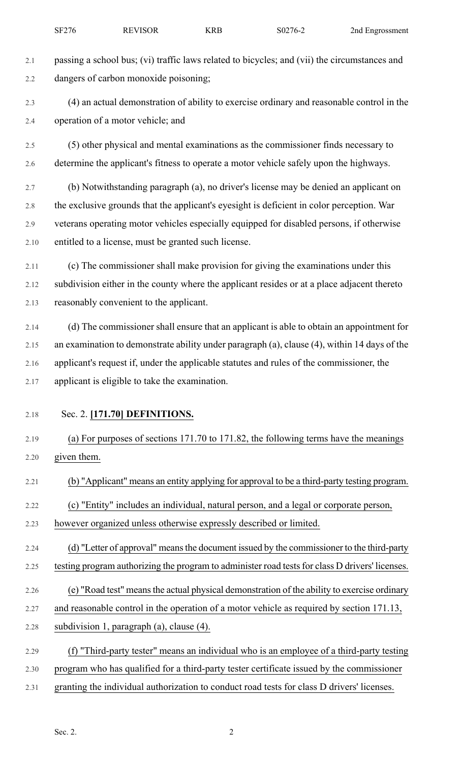- 2.1 passing a school bus; (vi) traffic laws related to bicycles; and (vii) the circumstances and 2.2 dangers of carbon monoxide poisoning; 2.3 (4) an actual demonstration of ability to exercise ordinary and reasonable control in the 2.4 operation of a motor vehicle; and 2.5 (5) other physical and mental examinations as the commissioner finds necessary to 2.6 determine the applicant's fitness to operate a motor vehicle safely upon the highways. 2.7 (b) Notwithstanding paragraph (a), no driver's license may be denied an applicant on 2.8 the exclusive grounds that the applicant's eyesight is deficient in color perception. War 2.9 veterans operating motor vehicles especially equipped for disabled persons, if otherwise 2.10 entitled to a license, must be granted such license. 2.11 (c) The commissioner shall make provision for giving the examinations under this 2.12 subdivision either in the county where the applicant resides or at a place adjacent thereto 2.13 reasonably convenient to the applicant. 2.14 (d) The commissioner shall ensure that an applicant is able to obtain an appointment for 2.15 an examination to demonstrate ability under paragraph (a), clause (4), within 14 days of the 2.16 applicant's request if, under the applicable statutes and rules of the commissioner, the 2.17 applicant is eligible to take the examination. 2.18 Sec. 2. **[171.70] DEFINITIONS.** 2.19 (a) For purposes of sections 171.70 to 171.82, the following terms have the meanings 2.20 given them. 2.21 (b) "Applicant" means an entity applying for approval to be a third-party testing program. 2.22 (c) "Entity" includes an individual, natural person, and a legal or corporate person, 2.23 however organized unless otherwise expressly described or limited. 2.24 (d) "Letter of approval" means the document issued by the commissioner to the third-party 2.25 testing program authorizing the program to administer road tests for class D drivers' licenses. 2.26 (e) "Road test" meansthe actual physical demonstration of the ability to exercise ordinary 2.27 and reasonable control in the operation of a motor vehicle as required by section 171.13, 2.28 subdivision 1, paragraph (a), clause (4). 2.29 (f) "Third-party tester" means an individual who is an employee of a third-party testing 2.30 program who has qualified for a third-party tester certificate issued by the commissioner
- 2.31 granting the individual authorization to conduct road tests for class D drivers' licenses.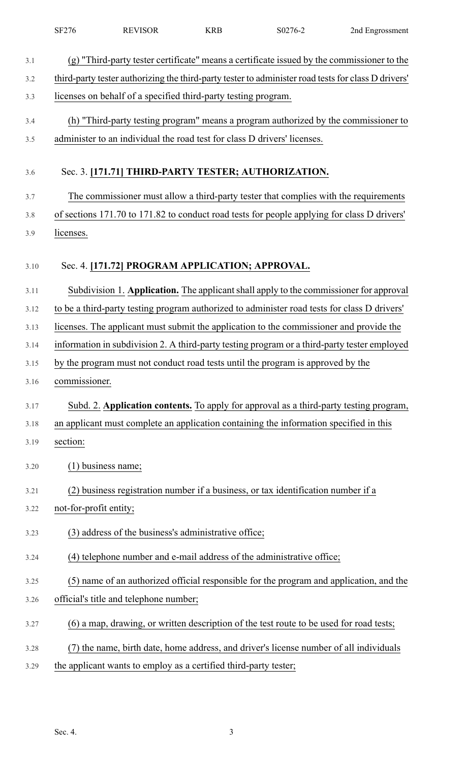|      | SF276                  | <b>REVISOR</b>                                                                                      | <b>KRB</b> | S0276-2 | 2nd Engrossment |
|------|------------------------|-----------------------------------------------------------------------------------------------------|------------|---------|-----------------|
| 3.1  |                        | (g) "Third-party tester certificate" means a certificate issued by the commissioner to the          |            |         |                 |
| 3.2  |                        | third-party tester authorizing the third-party tester to administer road tests for class D drivers' |            |         |                 |
| 3.3  |                        | licenses on behalf of a specified third-party testing program.                                      |            |         |                 |
| 3.4  |                        | (h) "Third-party testing program" means a program authorized by the commissioner to                 |            |         |                 |
| 3.5  |                        | administer to an individual the road test for class D drivers' licenses.                            |            |         |                 |
| 3.6  |                        | Sec. 3. [171.71] THIRD-PARTY TESTER; AUTHORIZATION.                                                 |            |         |                 |
| 3.7  |                        | The commissioner must allow a third-party tester that complies with the requirements                |            |         |                 |
| 3.8  |                        | of sections 171.70 to 171.82 to conduct road tests for people applying for class D drivers'         |            |         |                 |
| 3.9  | licenses.              |                                                                                                     |            |         |                 |
| 3.10 |                        | Sec. 4. [171.72] PROGRAM APPLICATION; APPROVAL.                                                     |            |         |                 |
| 3.11 |                        | Subdivision 1. Application. The applicant shall apply to the commissioner for approval              |            |         |                 |
| 3.12 |                        | to be a third-party testing program authorized to administer road tests for class D drivers'        |            |         |                 |
| 3.13 |                        | licenses. The applicant must submit the application to the commissioner and provide the             |            |         |                 |
| 3.14 |                        | information in subdivision 2. A third-party testing program or a third-party tester employed        |            |         |                 |
| 3.15 |                        | by the program must not conduct road tests until the program is approved by the                     |            |         |                 |
| 3.16 | commissioner.          |                                                                                                     |            |         |                 |
| 3.17 |                        | Subd. 2. Application contents. To apply for approval as a third-party testing program,              |            |         |                 |
| 3.18 |                        | an applicant must complete an application containing the information specified in this              |            |         |                 |
| 3.19 | section:               |                                                                                                     |            |         |                 |
| 3.20 |                        | $(1)$ business name;                                                                                |            |         |                 |
| 3.21 |                        | (2) business registration number if a business, or tax identification number if a                   |            |         |                 |
| 3.22 | not-for-profit entity; |                                                                                                     |            |         |                 |
| 3.23 |                        | (3) address of the business's administrative office;                                                |            |         |                 |
| 3.24 |                        | (4) telephone number and e-mail address of the administrative office;                               |            |         |                 |
| 3.25 |                        | (5) name of an authorized official responsible for the program and application, and the             |            |         |                 |
| 3.26 |                        | official's title and telephone number;                                                              |            |         |                 |
| 3.27 |                        | (6) a map, drawing, or written description of the test route to be used for road tests;             |            |         |                 |
| 3.28 |                        | the name, birth date, home address, and driver's license number of all individuals                  |            |         |                 |
| 3.29 |                        | the applicant wants to employ as a certified third-party tester;                                    |            |         |                 |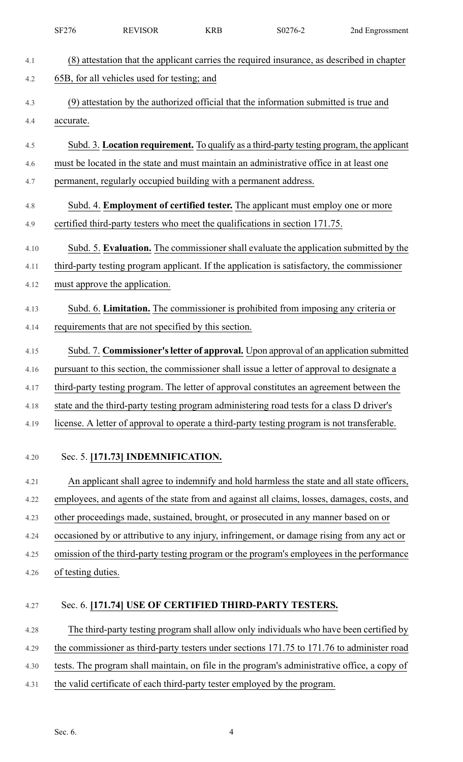|      | SF276              | <b>REVISOR</b>                                                   | <b>KRB</b> | S0276-2                                                                                      | 2nd Engrossment |
|------|--------------------|------------------------------------------------------------------|------------|----------------------------------------------------------------------------------------------|-----------------|
| 4.1  |                    |                                                                  |            | (8) attestation that the applicant carries the required insurance, as described in chapter   |                 |
| 4.2  |                    | 65B, for all vehicles used for testing; and                      |            |                                                                                              |                 |
| 4.3  |                    |                                                                  |            | (9) attestation by the authorized official that the information submitted is true and        |                 |
| 4.4  | accurate.          |                                                                  |            |                                                                                              |                 |
| 4.5  |                    |                                                                  |            | Subd. 3. Location requirement. To qualify as a third-party testing program, the applicant    |                 |
| 4.6  |                    |                                                                  |            | must be located in the state and must maintain an administrative office in at least one      |                 |
| 4.7  |                    | permanent, regularly occupied building with a permanent address. |            |                                                                                              |                 |
| 4.8  |                    |                                                                  |            | Subd. 4. <b>Employment of certified tester.</b> The applicant must employ one or more        |                 |
| 4.9  |                    |                                                                  |            | certified third-party testers who meet the qualifications in section 171.75.                 |                 |
| 4.10 |                    |                                                                  |            | Subd. 5. Evaluation. The commissioner shall evaluate the application submitted by the        |                 |
| 4.11 |                    |                                                                  |            | third-party testing program applicant. If the application is satisfactory, the commissioner  |                 |
| 4.12 |                    | must approve the application.                                    |            |                                                                                              |                 |
| 4.13 |                    |                                                                  |            | Subd. 6. Limitation. The commissioner is prohibited from imposing any criteria or            |                 |
| 4.14 |                    | requirements that are not specified by this section.             |            |                                                                                              |                 |
| 4.15 |                    |                                                                  |            | Subd. 7. Commissioner's letter of approval. Upon approval of an application submitted        |                 |
| 4.16 |                    |                                                                  |            | pursuant to this section, the commissioner shall issue a letter of approval to designate a   |                 |
| 4.17 |                    |                                                                  |            | third-party testing program. The letter of approval constitutes an agreement between the     |                 |
| 4.18 |                    |                                                                  |            | state and the third-party testing program administering road tests for a class D driver's    |                 |
| 4.19 |                    |                                                                  |            | license. A letter of approval to operate a third-party testing program is not transferable.  |                 |
|      |                    |                                                                  |            |                                                                                              |                 |
| 4.20 |                    | Sec. 5. [171.73] INDEMNIFICATION.                                |            |                                                                                              |                 |
| 4.21 |                    |                                                                  |            | An applicant shall agree to indemnify and hold harmless the state and all state officers,    |                 |
| 4.22 |                    |                                                                  |            | employees, and agents of the state from and against all claims, losses, damages, costs, and  |                 |
| 4.23 |                    |                                                                  |            | other proceedings made, sustained, brought, or prosecuted in any manner based on or          |                 |
| 4.24 |                    |                                                                  |            | occasioned by or attributive to any injury, infringement, or damage rising from any act or   |                 |
| 4.25 |                    |                                                                  |            | omission of the third-party testing program or the program's employees in the performance    |                 |
| 4.26 | of testing duties. |                                                                  |            |                                                                                              |                 |
| 4.27 |                    |                                                                  |            | Sec. 6. [171.74] USE OF CERTIFIED THIRD-PARTY TESTERS.                                       |                 |
| 4.28 |                    |                                                                  |            | The third-party testing program shall allow only individuals who have been certified by      |                 |
| 4.29 |                    |                                                                  |            | the commissioner as third-party testers under sections 171.75 to 171.76 to administer road   |                 |
| 4.30 |                    |                                                                  |            | tests. The program shall maintain, on file in the program's administrative office, a copy of |                 |
| 4.31 |                    |                                                                  |            | the valid certificate of each third-party tester employed by the program.                    |                 |
|      |                    |                                                                  |            |                                                                                              |                 |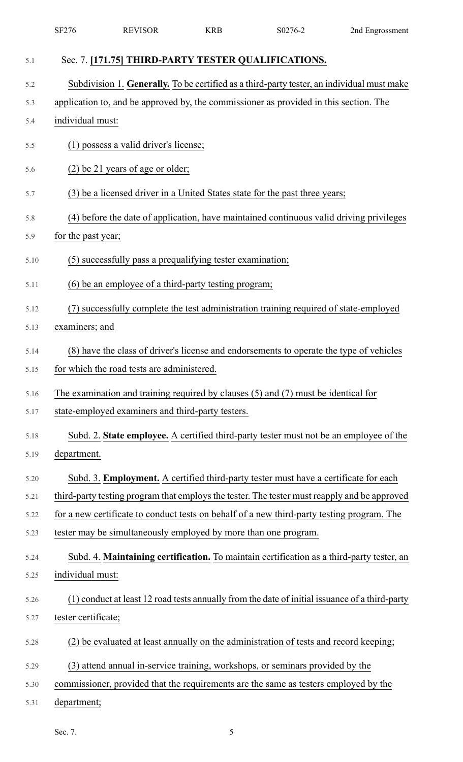|      | SF276               | <b>REVISOR</b>                                                  | <b>KRB</b> | S0276-2                                                                                        | 2nd Engrossment |
|------|---------------------|-----------------------------------------------------------------|------------|------------------------------------------------------------------------------------------------|-----------------|
| 5.1  |                     |                                                                 |            | Sec. 7. [171.75] THIRD-PARTY TESTER QUALIFICATIONS.                                            |                 |
| 5.2  |                     |                                                                 |            | Subdivision 1. Generally. To be certified as a third-party tester, an individual must make     |                 |
| 5.3  |                     |                                                                 |            | application to, and be approved by, the commissioner as provided in this section. The          |                 |
| 5.4  | individual must:    |                                                                 |            |                                                                                                |                 |
| 5.5  |                     | (1) possess a valid driver's license;                           |            |                                                                                                |                 |
| 5.6  |                     | (2) be 21 years of age or older;                                |            |                                                                                                |                 |
| 5.7  |                     |                                                                 |            | (3) be a licensed driver in a United States state for the past three years;                    |                 |
| 5.8  |                     |                                                                 |            | (4) before the date of application, have maintained continuous valid driving privileges        |                 |
| 5.9  | for the past year;  |                                                                 |            |                                                                                                |                 |
| 5.10 |                     | (5) successfully pass a prequalifying tester examination;       |            |                                                                                                |                 |
| 5.11 |                     | (6) be an employee of a third-party testing program;            |            |                                                                                                |                 |
| 5.12 | (7)                 |                                                                 |            | successfully complete the test administration training required of state-employed              |                 |
| 5.13 | examiners; and      |                                                                 |            |                                                                                                |                 |
| 5.14 |                     |                                                                 |            | (8) have the class of driver's license and endorsements to operate the type of vehicles        |                 |
| 5.15 |                     | for which the road tests are administered.                      |            |                                                                                                |                 |
| 5.16 |                     |                                                                 |            | The examination and training required by clauses $(5)$ and $(7)$ must be identical for         |                 |
| 5.17 |                     | state-employed examiners and third-party testers.               |            |                                                                                                |                 |
| 5.18 |                     |                                                                 |            | Subd. 2. State employee. A certified third-party tester must not be an employee of the         |                 |
| 5.19 | department.         |                                                                 |            |                                                                                                |                 |
| 5.20 |                     |                                                                 |            | Subd. 3. <b>Employment.</b> A certified third-party tester must have a certificate for each    |                 |
| 5.21 |                     |                                                                 |            | third-party testing program that employs the tester. The tester must reapply and be approved   |                 |
| 5.22 |                     |                                                                 |            | for a new certificate to conduct tests on behalf of a new third-party testing program. The     |                 |
| 5.23 |                     | tester may be simultaneously employed by more than one program. |            |                                                                                                |                 |
| 5.24 |                     |                                                                 |            | Subd. 4. Maintaining certification. To maintain certification as a third-party tester, an      |                 |
| 5.25 | individual must:    |                                                                 |            |                                                                                                |                 |
| 5.26 |                     |                                                                 |            | (1) conduct at least 12 road tests annually from the date of initial issuance of a third-party |                 |
| 5.27 | tester certificate; |                                                                 |            |                                                                                                |                 |
| 5.28 |                     |                                                                 |            | (2) be evaluated at least annually on the administration of tests and record keeping;          |                 |
| 5.29 |                     |                                                                 |            | (3) attend annual in-service training, workshops, or seminars provided by the                  |                 |
| 5.30 |                     |                                                                 |            | commissioner, provided that the requirements are the same as testers employed by the           |                 |
| 5.31 | department;         |                                                                 |            |                                                                                                |                 |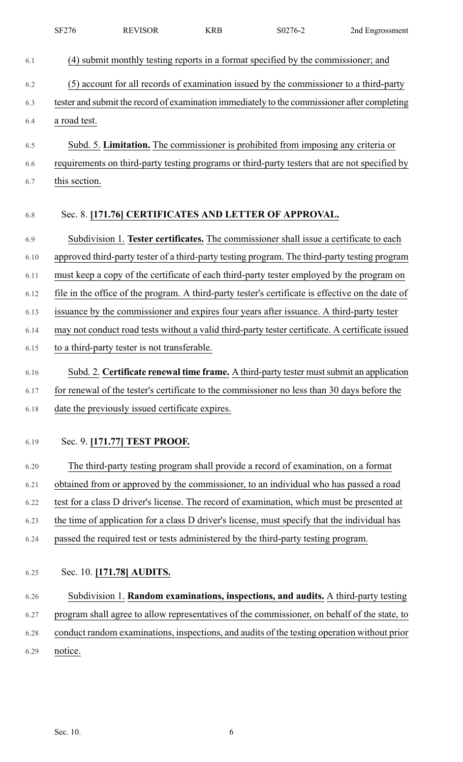|      | SF276         | <b>REVISOR</b>                                  | <b>KRB</b> | S0276-2                                                                                           | 2nd Engrossment |
|------|---------------|-------------------------------------------------|------------|---------------------------------------------------------------------------------------------------|-----------------|
| 6.1  |               |                                                 |            | (4) submit monthly testing reports in a format specified by the commissioner; and                 |                 |
| 6.2  |               |                                                 |            | (5) account for all records of examination issued by the commissioner to a third-party            |                 |
| 6.3  |               |                                                 |            | tester and submit the record of examination immediately to the commissioner after completing      |                 |
| 6.4  | a road test.  |                                                 |            |                                                                                                   |                 |
| 6.5  |               |                                                 |            | Subd. 5. Limitation. The commissioner is prohibited from imposing any criteria or                 |                 |
| 6.6  |               |                                                 |            | requirements on third-party testing programs or third-party testers that are not specified by     |                 |
| 6.7  | this section. |                                                 |            |                                                                                                   |                 |
| 6.8  |               |                                                 |            | Sec. 8. [171.76] CERTIFICATES AND LETTER OF APPROVAL.                                             |                 |
| 6.9  |               |                                                 |            | Subdivision 1. Tester certificates. The commissioner shall issue a certificate to each            |                 |
| 6.10 |               |                                                 |            | approved third-party tester of a third-party testing program. The third-party testing program     |                 |
| 6.11 |               |                                                 |            | must keep a copy of the certificate of each third-party tester employed by the program on         |                 |
| 6.12 |               |                                                 |            | file in the office of the program. A third-party tester's certificate is effective on the date of |                 |
| 6.13 |               |                                                 |            | issuance by the commissioner and expires four years after issuance. A third-party tester          |                 |
| 6.14 |               |                                                 |            | may not conduct road tests without a valid third-party tester certificate. A certificate issued   |                 |
| 6.15 |               | to a third-party tester is not transferable.    |            |                                                                                                   |                 |
| 6.16 |               |                                                 |            | Subd. 2. Certificate renewal time frame. A third-party tester must submit an application          |                 |
| 6.17 |               |                                                 |            | for renewal of the tester's certificate to the commissioner no less than 30 days before the       |                 |
| 6.18 |               | date the previously issued certificate expires. |            |                                                                                                   |                 |
| 6.19 |               | Sec. 9. [171.77] TEST PROOF.                    |            |                                                                                                   |                 |
| 6.20 |               |                                                 |            | The third-party testing program shall provide a record of examination, on a format                |                 |
| 6.21 |               |                                                 |            | obtained from or approved by the commissioner, to an individual who has passed a road             |                 |
| 6.22 |               |                                                 |            | test for a class D driver's license. The record of examination, which must be presented at        |                 |
| 6.23 |               |                                                 |            | the time of application for a class D driver's license, must specify that the individual has      |                 |
| 6.24 |               |                                                 |            | passed the required test or tests administered by the third-party testing program.                |                 |
| 6.25 |               | Sec. 10. [171.78] AUDITS.                       |            |                                                                                                   |                 |
| 6.26 |               |                                                 |            | Subdivision 1. Random examinations, inspections, and audits. A third-party testing                |                 |
| 6.27 |               |                                                 |            | program shall agree to allow representatives of the commissioner, on behalf of the state, to      |                 |
| 6.28 |               |                                                 |            | conduct random examinations, inspections, and audits of the testing operation without prior       |                 |
| 6.29 | notice.       |                                                 |            |                                                                                                   |                 |
|      |               |                                                 |            |                                                                                                   |                 |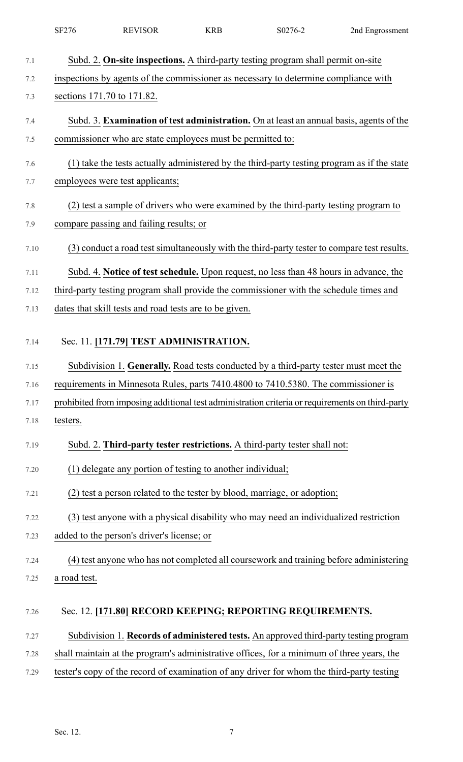|      | SF276        | <b>REVISOR</b>                                                                                  | <b>KRB</b> | S0276-2 | 2nd Engrossment |
|------|--------------|-------------------------------------------------------------------------------------------------|------------|---------|-----------------|
| 7.1  |              | Subd. 2. On-site inspections. A third-party testing program shall permit on-site                |            |         |                 |
| 7.2  |              | inspections by agents of the commissioner as necessary to determine compliance with             |            |         |                 |
| 7.3  |              | sections 171.70 to 171.82.                                                                      |            |         |                 |
| 7.4  |              | Subd. 3. Examination of test administration. On at least an annual basis, agents of the         |            |         |                 |
| 7.5  |              | commissioner who are state employees must be permitted to:                                      |            |         |                 |
| 7.6  |              | (1) take the tests actually administered by the third-party testing program as if the state     |            |         |                 |
| 7.7  |              | employees were test applicants;                                                                 |            |         |                 |
| 7.8  |              | (2) test a sample of drivers who were examined by the third-party testing program to            |            |         |                 |
| 7.9  |              | compare passing and failing results; or                                                         |            |         |                 |
| 7.10 |              | (3) conduct a road test simultaneously with the third-party tester to compare test results.     |            |         |                 |
| 7.11 |              | Subd. 4. Notice of test schedule. Upon request, no less than 48 hours in advance, the           |            |         |                 |
| 7.12 |              | third-party testing program shall provide the commissioner with the schedule times and          |            |         |                 |
| 7.13 |              | dates that skill tests and road tests are to be given.                                          |            |         |                 |
| 7.14 |              | Sec. 11. [171.79] TEST ADMINISTRATION.                                                          |            |         |                 |
| 7.15 |              | Subdivision 1. Generally. Road tests conducted by a third-party tester must meet the            |            |         |                 |
| 7.16 |              | requirements in Minnesota Rules, parts 7410.4800 to 7410.5380. The commissioner is              |            |         |                 |
| 7.17 |              | prohibited from imposing additional test administration criteria or requirements on third-party |            |         |                 |
| 7.18 | testers.     |                                                                                                 |            |         |                 |
| 7.19 |              | Subd. 2. Third-party tester restrictions. A third-party tester shall not:                       |            |         |                 |
| 7.20 |              | (1) delegate any portion of testing to another individual;                                      |            |         |                 |
| 7.21 |              | (2) test a person related to the tester by blood, marriage, or adoption;                        |            |         |                 |
| 7.22 |              | (3) test anyone with a physical disability who may need an individualized restriction           |            |         |                 |
| 7.23 |              | added to the person's driver's license; or                                                      |            |         |                 |
| 7.24 |              | (4) test anyone who has not completed all coursework and training before administering          |            |         |                 |
| 7.25 | a road test. |                                                                                                 |            |         |                 |
| 7.26 |              | Sec. 12. [171.80] RECORD KEEPING; REPORTING REQUIREMENTS.                                       |            |         |                 |
| 7.27 |              | Subdivision 1. Records of administered tests. An approved third-party testing program           |            |         |                 |
| 7.28 |              | shall maintain at the program's administrative offices, for a minimum of three years, the       |            |         |                 |
| 7.29 |              | tester's copy of the record of examination of any driver for whom the third-party testing       |            |         |                 |
|      |              |                                                                                                 |            |         |                 |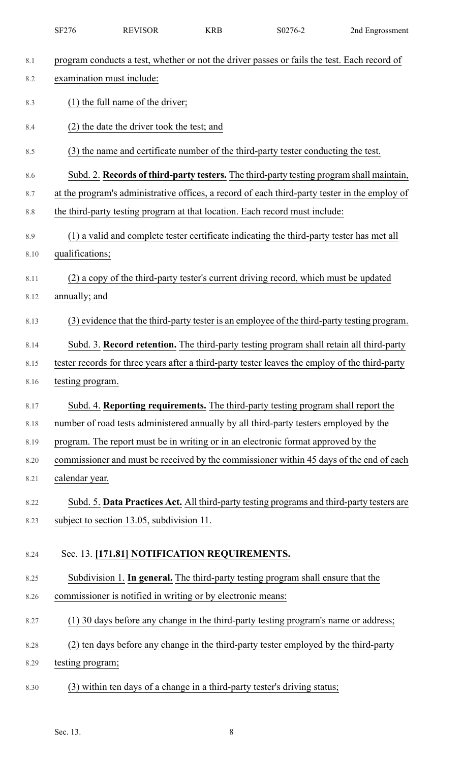|      | SF276                     | <b>REVISOR</b>                                              | <b>KRB</b> | S0276-2                                                                                        | 2nd Engrossment |
|------|---------------------------|-------------------------------------------------------------|------------|------------------------------------------------------------------------------------------------|-----------------|
| 8.1  |                           |                                                             |            | program conducts a test, whether or not the driver passes or fails the test. Each record of    |                 |
| 8.2  | examination must include: |                                                             |            |                                                                                                |                 |
| 8.3  |                           | $(1)$ the full name of the driver;                          |            |                                                                                                |                 |
| 8.4  |                           | (2) the date the driver took the test; and                  |            |                                                                                                |                 |
| 8.5  |                           |                                                             |            | (3) the name and certificate number of the third-party tester conducting the test.             |                 |
| 8.6  |                           |                                                             |            | Subd. 2. Records of third-party testers. The third-party testing program shall maintain,       |                 |
| 8.7  |                           |                                                             |            | at the program's administrative offices, a record of each third-party tester in the employ of  |                 |
| 8.8  |                           |                                                             |            | the third-party testing program at that location. Each record must include:                    |                 |
| 8.9  |                           |                                                             |            | (1) a valid and complete tester certificate indicating the third-party tester has met all      |                 |
| 8.10 | qualifications;           |                                                             |            |                                                                                                |                 |
| 8.11 |                           |                                                             |            | (2) a copy of the third-party tester's current driving record, which must be updated           |                 |
| 8.12 | annually; and             |                                                             |            |                                                                                                |                 |
| 8.13 |                           |                                                             |            | (3) evidence that the third-party tester is an employee of the third-party testing program.    |                 |
| 8.14 |                           |                                                             |            | Subd. 3. Record retention. The third-party testing program shall retain all third-party        |                 |
| 8.15 |                           |                                                             |            | tester records for three years after a third-party tester leaves the employ of the third-party |                 |
| 8.16 | testing program.          |                                                             |            |                                                                                                |                 |
| 8.17 |                           |                                                             |            | Subd. 4. Reporting requirements. The third-party testing program shall report the              |                 |
| 8.18 |                           |                                                             |            | number of road tests administered annually by all third-party testers employed by the          |                 |
| 8.19 |                           |                                                             |            | program. The report must be in writing or in an electronic format approved by the              |                 |
| 8.20 |                           |                                                             |            | commissioner and must be received by the commissioner within 45 days of the end of each        |                 |
| 8.21 | calendar year.            |                                                             |            |                                                                                                |                 |
| 8.22 |                           |                                                             |            | Subd. 5. Data Practices Act. All third-party testing programs and third-party testers are      |                 |
| 8.23 |                           | subject to section 13.05, subdivision 11.                   |            |                                                                                                |                 |
| 8.24 |                           | Sec. 13. [171.81] NOTIFICATION REQUIREMENTS.                |            |                                                                                                |                 |
| 8.25 |                           |                                                             |            | Subdivision 1. In general. The third-party testing program shall ensure that the               |                 |
| 8.26 |                           | commissioner is notified in writing or by electronic means: |            |                                                                                                |                 |
| 8.27 |                           |                                                             |            | (1) 30 days before any change in the third-party testing program's name or address;            |                 |
| 8.28 |                           |                                                             |            | (2) ten days before any change in the third-party tester employed by the third-party           |                 |
| 8.29 | testing program;          |                                                             |            |                                                                                                |                 |
| 8.30 |                           |                                                             |            | (3) within ten days of a change in a third-party tester's driving status;                      |                 |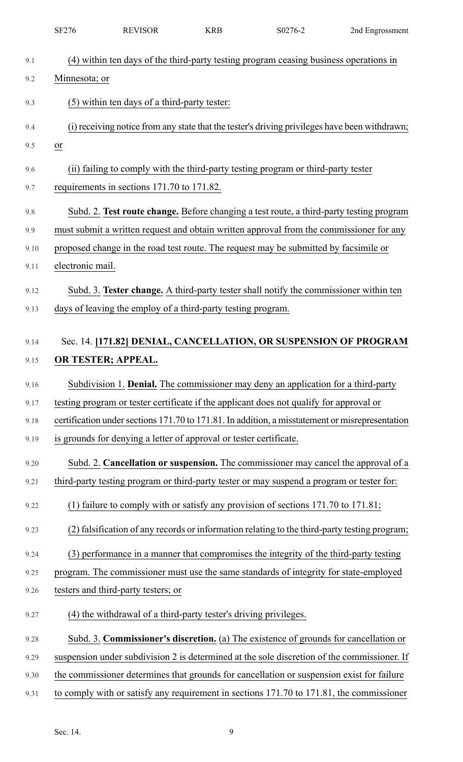|      | <b>SF276</b>            | <b>REVISOR</b>                                                     | <b>KRB</b> | S0276-2                                                                                         | 2nd Engrossment |
|------|-------------------------|--------------------------------------------------------------------|------------|-------------------------------------------------------------------------------------------------|-----------------|
| 9.1  |                         |                                                                    |            | (4) within ten days of the third-party testing program ceasing business operations in           |                 |
| 9.2  | Minnesota; or           |                                                                    |            |                                                                                                 |                 |
| 9.3  |                         | (5) within ten days of a third-party tester:                       |            |                                                                                                 |                 |
|      |                         |                                                                    |            |                                                                                                 |                 |
| 9.4  |                         |                                                                    |            | (i) receiving notice from any state that the tester's driving privileges have been withdrawn;   |                 |
| 9.5  | $\underline{\text{or}}$ |                                                                    |            |                                                                                                 |                 |
| 9.6  |                         |                                                                    |            | (ii) failing to comply with the third-party testing program or third-party tester               |                 |
| 9.7  |                         | requirements in sections 171.70 to 171.82.                         |            |                                                                                                 |                 |
| 9.8  |                         |                                                                    |            | Subd. 2. Test route change. Before changing a test route, a third-party testing program         |                 |
| 9.9  |                         |                                                                    |            | must submit a written request and obtain written approval from the commissioner for any         |                 |
| 9.10 |                         |                                                                    |            | proposed change in the road test route. The request may be submitted by facsimile or            |                 |
| 9.11 | electronic mail.        |                                                                    |            |                                                                                                 |                 |
| 9.12 |                         |                                                                    |            | Subd. 3. Tester change. A third-party tester shall notify the commissioner within ten           |                 |
| 9.13 |                         | days of leaving the employ of a third-party testing program.       |            |                                                                                                 |                 |
|      |                         |                                                                    |            |                                                                                                 |                 |
| 9.14 |                         |                                                                    |            | Sec. 14. [171.82] DENIAL, CANCELLATION, OR SUSPENSION OF PROGRAM                                |                 |
| 9.15 |                         | OR TESTER; APPEAL.                                                 |            |                                                                                                 |                 |
| 9.16 |                         |                                                                    |            | Subdivision 1. Denial. The commissioner may deny an application for a third-party               |                 |
| 9.17 |                         |                                                                    |            | testing program or tester certificate if the applicant does not qualify for approval or         |                 |
| 9.18 |                         |                                                                    |            | certification under sections 171.70 to 171.81. In addition, a misstatement or misrepresentation |                 |
| 9.19 |                         | is grounds for denying a letter of approval or tester certificate. |            |                                                                                                 |                 |
| 9.20 |                         |                                                                    |            | Subd. 2. Cancellation or suspension. The commissioner may cancel the approval of a              |                 |
| 9.21 |                         |                                                                    |            | third-party testing program or third-party tester or may suspend a program or tester for:       |                 |
| 9.22 |                         |                                                                    |            | (1) failure to comply with or satisfy any provision of sections $171.70$ to $171.81$ ;          |                 |
| 9.23 |                         |                                                                    |            | (2) falsification of any records or information relating to the third-party testing program;    |                 |
| 9.24 |                         |                                                                    |            | (3) performance in a manner that compromises the integrity of the third-party testing           |                 |
| 9.25 |                         |                                                                    |            | program. The commissioner must use the same standards of integrity for state-employed           |                 |
| 9.26 |                         | testers and third-party testers; or                                |            |                                                                                                 |                 |
| 9.27 |                         | (4) the withdrawal of a third-party tester's driving privileges.   |            |                                                                                                 |                 |
| 9.28 |                         |                                                                    |            | Subd. 3. Commissioner's discretion. (a) The existence of grounds for cancellation or            |                 |
| 9.29 |                         |                                                                    |            | suspension under subdivision 2 is determined at the sole discretion of the commissioner. If     |                 |
| 9.30 |                         |                                                                    |            | the commissioner determines that grounds for cancellation or suspension exist for failure       |                 |
| 9.31 |                         |                                                                    |            | to comply with or satisfy any requirement in sections 171.70 to 171.81, the commissioner        |                 |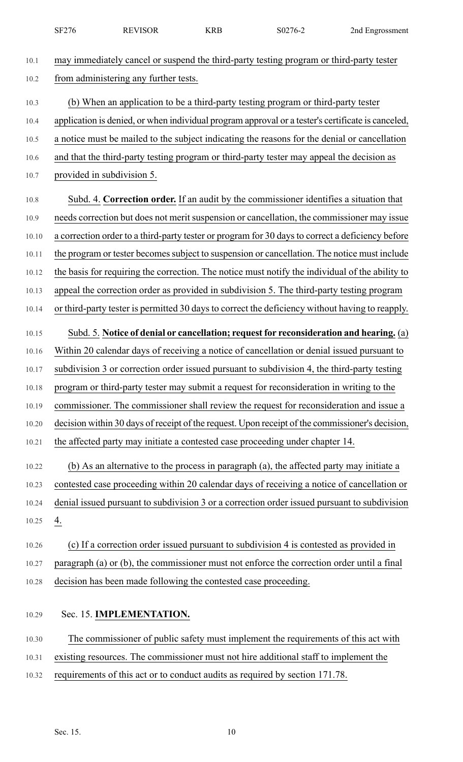|       | <b>SF276</b> | <b>REVISOR</b>                                                  | <b>KRB</b> | S0276-2                                                                                           | 2nd Engrossment |
|-------|--------------|-----------------------------------------------------------------|------------|---------------------------------------------------------------------------------------------------|-----------------|
| 10.1  |              |                                                                 |            | may immediately cancel or suspend the third-party testing program or third-party tester           |                 |
| 10.2  |              | from administering any further tests.                           |            |                                                                                                   |                 |
| 10.3  |              |                                                                 |            | (b) When an application to be a third-party testing program or third-party tester                 |                 |
| 10.4  |              |                                                                 |            | application is denied, or when individual program approval or a tester's certificate is canceled, |                 |
| 10.5  |              |                                                                 |            | a notice must be mailed to the subject indicating the reasons for the denial or cancellation      |                 |
| 10.6  |              |                                                                 |            | and that the third-party testing program or third-party tester may appeal the decision as         |                 |
| 10.7  |              | provided in subdivision 5.                                      |            |                                                                                                   |                 |
| 10.8  |              |                                                                 |            | Subd. 4. Correction order. If an audit by the commissioner identifies a situation that            |                 |
| 10.9  |              |                                                                 |            | needs correction but does not merit suspension or cancellation, the commissioner may issue        |                 |
| 10.10 |              |                                                                 |            | a correction order to a third-party tester or program for 30 days to correct a deficiency before  |                 |
| 10.11 |              |                                                                 |            | the program or tester becomes subject to suspension or cancellation. The notice must include      |                 |
| 10.12 |              |                                                                 |            | the basis for requiring the correction. The notice must notify the individual of the ability to   |                 |
| 10.13 |              |                                                                 |            | appeal the correction order as provided in subdivision 5. The third-party testing program         |                 |
| 10.14 |              |                                                                 |            | or third-party tester is permitted 30 days to correct the deficiency without having to reapply.   |                 |
| 10.15 |              |                                                                 |            | Subd. 5. Notice of denial or cancellation; request for reconsideration and hearing. (a)           |                 |
| 10.16 |              |                                                                 |            | Within 20 calendar days of receiving a notice of cancellation or denial issued pursuant to        |                 |
| 10.17 |              |                                                                 |            | subdivision 3 or correction order issued pursuant to subdivision 4, the third-party testing       |                 |
| 10.18 |              |                                                                 |            | program or third-party tester may submit a request for reconsideration in writing to the          |                 |
| 10.19 |              |                                                                 |            | commissioner. The commissioner shall review the request for reconsideration and issue a           |                 |
| 10.20 |              |                                                                 |            | decision within 30 days of receipt of the request. Upon receipt of the commissioner's decision,   |                 |
| 10.21 |              |                                                                 |            | the affected party may initiate a contested case proceeding under chapter 14.                     |                 |
| 10.22 |              |                                                                 |            | (b) As an alternative to the process in paragraph (a), the affected party may initiate a          |                 |
| 10.23 |              |                                                                 |            | contested case proceeding within 20 calendar days of receiving a notice of cancellation or        |                 |
| 10.24 |              |                                                                 |            | denial issued pursuant to subdivision 3 or a correction order issued pursuant to subdivision      |                 |
| 10.25 | 4.           |                                                                 |            |                                                                                                   |                 |
| 10.26 |              |                                                                 |            | (c) If a correction order issued pursuant to subdivision 4 is contested as provided in            |                 |
| 10.27 |              |                                                                 |            | paragraph (a) or (b), the commissioner must not enforce the correction order until a final        |                 |
| 10.28 |              | decision has been made following the contested case proceeding. |            |                                                                                                   |                 |
| 10.29 |              | Sec. 15. IMPLEMENTATION.                                        |            |                                                                                                   |                 |
| 10.30 |              |                                                                 |            | The commissioner of public safety must implement the requirements of this act with                |                 |
| 10.31 |              |                                                                 |            | existing resources. The commissioner must not hire additional staff to implement the              |                 |
| 10.32 |              |                                                                 |            | requirements of this act or to conduct audits as required by section 171.78.                      |                 |
|       |              |                                                                 |            |                                                                                                   |                 |